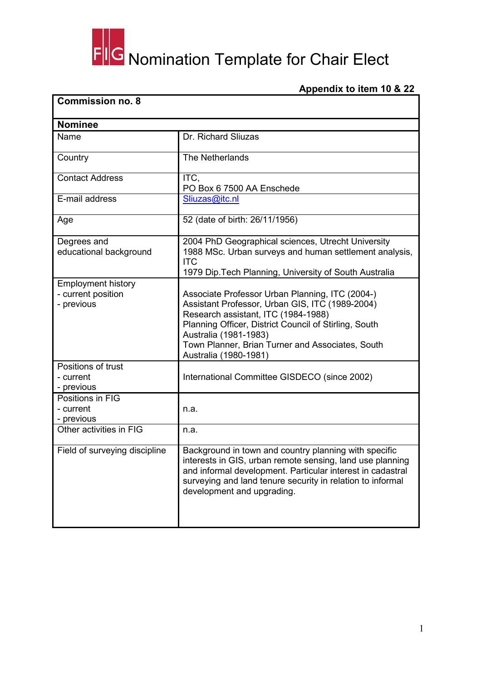## FIG Nomination Template for Chair Elect

## **Appendix to item 10 & 22**

| <b>Commission no. 8</b>                                       |                                                                                                                                                                                                                                                                                                          |  |  |
|---------------------------------------------------------------|----------------------------------------------------------------------------------------------------------------------------------------------------------------------------------------------------------------------------------------------------------------------------------------------------------|--|--|
| <b>Nominee</b>                                                |                                                                                                                                                                                                                                                                                                          |  |  |
| Name                                                          | Dr. Richard Sliuzas                                                                                                                                                                                                                                                                                      |  |  |
| Country                                                       | The Netherlands                                                                                                                                                                                                                                                                                          |  |  |
| <b>Contact Address</b>                                        | ITC,<br>PO Box 6 7500 AA Enschede                                                                                                                                                                                                                                                                        |  |  |
| E-mail address                                                | Sliuzas@itc.nl                                                                                                                                                                                                                                                                                           |  |  |
| Age                                                           | 52 (date of birth: 26/11/1956)                                                                                                                                                                                                                                                                           |  |  |
| Degrees and<br>educational background                         | 2004 PhD Geographical sciences, Utrecht University<br>1988 MSc. Urban surveys and human settlement analysis,<br><b>ITC</b><br>1979 Dip. Tech Planning, University of South Australia                                                                                                                     |  |  |
| <b>Employment history</b><br>- current position<br>- previous | Associate Professor Urban Planning, ITC (2004-)<br>Assistant Professor, Urban GIS, ITC (1989-2004)<br>Research assistant, ITC (1984-1988)<br>Planning Officer, District Council of Stirling, South<br>Australia (1981-1983)<br>Town Planner, Brian Turner and Associates, South<br>Australia (1980-1981) |  |  |
| Positions of trust<br>- current<br>- previous                 | International Committee GISDECO (since 2002)                                                                                                                                                                                                                                                             |  |  |
| Positions in FIG<br>- current<br>- previous                   | n.a.                                                                                                                                                                                                                                                                                                     |  |  |
| Other activities in FIG                                       | n.a.                                                                                                                                                                                                                                                                                                     |  |  |
| Field of surveying discipline                                 | Background in town and country planning with specific<br>interests in GIS, urban remote sensing, land use planning<br>and informal development. Particular interest in cadastral<br>surveying and land tenure security in relation to informal<br>development and upgrading.                             |  |  |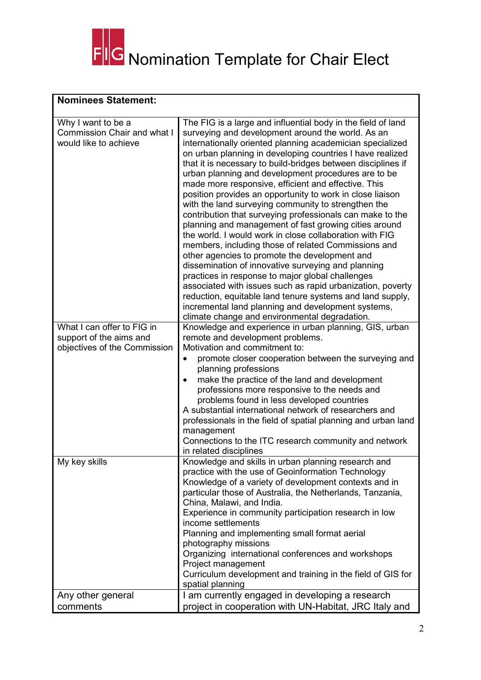

## **Nominees Statement:**

| Why I want to be a<br>The FIG is a large and influential body in the field of land<br>Commission Chair and what I<br>surveying and development around the world. As an<br>internationally oriented planning academician specialized<br>would like to achieve<br>on urban planning in developing countries I have realized<br>that it is necessary to build-bridges between disciplines if<br>urban planning and development procedures are to be<br>made more responsive, efficient and effective. This<br>position provides an opportunity to work in close liaison<br>with the land surveying community to strengthen the<br>contribution that surveying professionals can make to the<br>planning and management of fast growing cities around<br>the world. I would work in close collaboration with FIG<br>members, including those of related Commissions and<br>other agencies to promote the development and<br>dissemination of innovative surveying and planning<br>practices in response to major global challenges<br>associated with issues such as rapid urbanization, poverty<br>reduction, equitable land tenure systems and land supply,<br>incremental land planning and development systems,<br>climate change and environmental degradation.<br>What I can offer to FIG in<br>Knowledge and experience in urban planning, GIS, urban<br>support of the aims and<br>remote and development problems.<br>Motivation and commitment to:<br>objectives of the Commission<br>promote closer cooperation between the surveying and<br>planning professions<br>make the practice of the land and development<br>٠<br>professions more responsive to the needs and<br>problems found in less developed countries<br>A substantial international network of researchers and<br>professionals in the field of spatial planning and urban land<br>management<br>Connections to the ITC research community and network<br>in related disciplines<br>Knowledge and skills in urban planning research and<br>My key skills<br>practice with the use of Geoinformation Technology<br>Knowledge of a variety of development contexts and in<br>particular those of Australia, the Netherlands, Tanzania,<br>China, Malawi, and India.<br>Experience in community participation research in low<br>income settlements<br>Planning and implementing small format aerial<br>photography missions<br>Organizing international conferences and workshops<br>Project management<br>Curriculum development and training in the field of GIS for<br>spatial planning<br>I am currently engaged in developing a research<br>Any other general<br>comments<br>project in cooperation with UN-Habitat, JRC Italy and |  |
|---------------------------------------------------------------------------------------------------------------------------------------------------------------------------------------------------------------------------------------------------------------------------------------------------------------------------------------------------------------------------------------------------------------------------------------------------------------------------------------------------------------------------------------------------------------------------------------------------------------------------------------------------------------------------------------------------------------------------------------------------------------------------------------------------------------------------------------------------------------------------------------------------------------------------------------------------------------------------------------------------------------------------------------------------------------------------------------------------------------------------------------------------------------------------------------------------------------------------------------------------------------------------------------------------------------------------------------------------------------------------------------------------------------------------------------------------------------------------------------------------------------------------------------------------------------------------------------------------------------------------------------------------------------------------------------------------------------------------------------------------------------------------------------------------------------------------------------------------------------------------------------------------------------------------------------------------------------------------------------------------------------------------------------------------------------------------------------------------------------------------------------------------------------------------------------------------------------------------------------------------------------------------------------------------------------------------------------------------------------------------------------------------------------------------------------------------------------------------------------------------------------------------------------------------------------------------------------------------------------------------------------------------------------------------------------------------------------|--|
|                                                                                                                                                                                                                                                                                                                                                                                                                                                                                                                                                                                                                                                                                                                                                                                                                                                                                                                                                                                                                                                                                                                                                                                                                                                                                                                                                                                                                                                                                                                                                                                                                                                                                                                                                                                                                                                                                                                                                                                                                                                                                                                                                                                                                                                                                                                                                                                                                                                                                                                                                                                                                                                                                                               |  |
|                                                                                                                                                                                                                                                                                                                                                                                                                                                                                                                                                                                                                                                                                                                                                                                                                                                                                                                                                                                                                                                                                                                                                                                                                                                                                                                                                                                                                                                                                                                                                                                                                                                                                                                                                                                                                                                                                                                                                                                                                                                                                                                                                                                                                                                                                                                                                                                                                                                                                                                                                                                                                                                                                                               |  |
|                                                                                                                                                                                                                                                                                                                                                                                                                                                                                                                                                                                                                                                                                                                                                                                                                                                                                                                                                                                                                                                                                                                                                                                                                                                                                                                                                                                                                                                                                                                                                                                                                                                                                                                                                                                                                                                                                                                                                                                                                                                                                                                                                                                                                                                                                                                                                                                                                                                                                                                                                                                                                                                                                                               |  |
|                                                                                                                                                                                                                                                                                                                                                                                                                                                                                                                                                                                                                                                                                                                                                                                                                                                                                                                                                                                                                                                                                                                                                                                                                                                                                                                                                                                                                                                                                                                                                                                                                                                                                                                                                                                                                                                                                                                                                                                                                                                                                                                                                                                                                                                                                                                                                                                                                                                                                                                                                                                                                                                                                                               |  |
|                                                                                                                                                                                                                                                                                                                                                                                                                                                                                                                                                                                                                                                                                                                                                                                                                                                                                                                                                                                                                                                                                                                                                                                                                                                                                                                                                                                                                                                                                                                                                                                                                                                                                                                                                                                                                                                                                                                                                                                                                                                                                                                                                                                                                                                                                                                                                                                                                                                                                                                                                                                                                                                                                                               |  |
|                                                                                                                                                                                                                                                                                                                                                                                                                                                                                                                                                                                                                                                                                                                                                                                                                                                                                                                                                                                                                                                                                                                                                                                                                                                                                                                                                                                                                                                                                                                                                                                                                                                                                                                                                                                                                                                                                                                                                                                                                                                                                                                                                                                                                                                                                                                                                                                                                                                                                                                                                                                                                                                                                                               |  |
|                                                                                                                                                                                                                                                                                                                                                                                                                                                                                                                                                                                                                                                                                                                                                                                                                                                                                                                                                                                                                                                                                                                                                                                                                                                                                                                                                                                                                                                                                                                                                                                                                                                                                                                                                                                                                                                                                                                                                                                                                                                                                                                                                                                                                                                                                                                                                                                                                                                                                                                                                                                                                                                                                                               |  |
|                                                                                                                                                                                                                                                                                                                                                                                                                                                                                                                                                                                                                                                                                                                                                                                                                                                                                                                                                                                                                                                                                                                                                                                                                                                                                                                                                                                                                                                                                                                                                                                                                                                                                                                                                                                                                                                                                                                                                                                                                                                                                                                                                                                                                                                                                                                                                                                                                                                                                                                                                                                                                                                                                                               |  |
|                                                                                                                                                                                                                                                                                                                                                                                                                                                                                                                                                                                                                                                                                                                                                                                                                                                                                                                                                                                                                                                                                                                                                                                                                                                                                                                                                                                                                                                                                                                                                                                                                                                                                                                                                                                                                                                                                                                                                                                                                                                                                                                                                                                                                                                                                                                                                                                                                                                                                                                                                                                                                                                                                                               |  |
|                                                                                                                                                                                                                                                                                                                                                                                                                                                                                                                                                                                                                                                                                                                                                                                                                                                                                                                                                                                                                                                                                                                                                                                                                                                                                                                                                                                                                                                                                                                                                                                                                                                                                                                                                                                                                                                                                                                                                                                                                                                                                                                                                                                                                                                                                                                                                                                                                                                                                                                                                                                                                                                                                                               |  |
|                                                                                                                                                                                                                                                                                                                                                                                                                                                                                                                                                                                                                                                                                                                                                                                                                                                                                                                                                                                                                                                                                                                                                                                                                                                                                                                                                                                                                                                                                                                                                                                                                                                                                                                                                                                                                                                                                                                                                                                                                                                                                                                                                                                                                                                                                                                                                                                                                                                                                                                                                                                                                                                                                                               |  |
|                                                                                                                                                                                                                                                                                                                                                                                                                                                                                                                                                                                                                                                                                                                                                                                                                                                                                                                                                                                                                                                                                                                                                                                                                                                                                                                                                                                                                                                                                                                                                                                                                                                                                                                                                                                                                                                                                                                                                                                                                                                                                                                                                                                                                                                                                                                                                                                                                                                                                                                                                                                                                                                                                                               |  |
|                                                                                                                                                                                                                                                                                                                                                                                                                                                                                                                                                                                                                                                                                                                                                                                                                                                                                                                                                                                                                                                                                                                                                                                                                                                                                                                                                                                                                                                                                                                                                                                                                                                                                                                                                                                                                                                                                                                                                                                                                                                                                                                                                                                                                                                                                                                                                                                                                                                                                                                                                                                                                                                                                                               |  |
|                                                                                                                                                                                                                                                                                                                                                                                                                                                                                                                                                                                                                                                                                                                                                                                                                                                                                                                                                                                                                                                                                                                                                                                                                                                                                                                                                                                                                                                                                                                                                                                                                                                                                                                                                                                                                                                                                                                                                                                                                                                                                                                                                                                                                                                                                                                                                                                                                                                                                                                                                                                                                                                                                                               |  |
|                                                                                                                                                                                                                                                                                                                                                                                                                                                                                                                                                                                                                                                                                                                                                                                                                                                                                                                                                                                                                                                                                                                                                                                                                                                                                                                                                                                                                                                                                                                                                                                                                                                                                                                                                                                                                                                                                                                                                                                                                                                                                                                                                                                                                                                                                                                                                                                                                                                                                                                                                                                                                                                                                                               |  |
|                                                                                                                                                                                                                                                                                                                                                                                                                                                                                                                                                                                                                                                                                                                                                                                                                                                                                                                                                                                                                                                                                                                                                                                                                                                                                                                                                                                                                                                                                                                                                                                                                                                                                                                                                                                                                                                                                                                                                                                                                                                                                                                                                                                                                                                                                                                                                                                                                                                                                                                                                                                                                                                                                                               |  |
|                                                                                                                                                                                                                                                                                                                                                                                                                                                                                                                                                                                                                                                                                                                                                                                                                                                                                                                                                                                                                                                                                                                                                                                                                                                                                                                                                                                                                                                                                                                                                                                                                                                                                                                                                                                                                                                                                                                                                                                                                                                                                                                                                                                                                                                                                                                                                                                                                                                                                                                                                                                                                                                                                                               |  |
|                                                                                                                                                                                                                                                                                                                                                                                                                                                                                                                                                                                                                                                                                                                                                                                                                                                                                                                                                                                                                                                                                                                                                                                                                                                                                                                                                                                                                                                                                                                                                                                                                                                                                                                                                                                                                                                                                                                                                                                                                                                                                                                                                                                                                                                                                                                                                                                                                                                                                                                                                                                                                                                                                                               |  |
|                                                                                                                                                                                                                                                                                                                                                                                                                                                                                                                                                                                                                                                                                                                                                                                                                                                                                                                                                                                                                                                                                                                                                                                                                                                                                                                                                                                                                                                                                                                                                                                                                                                                                                                                                                                                                                                                                                                                                                                                                                                                                                                                                                                                                                                                                                                                                                                                                                                                                                                                                                                                                                                                                                               |  |
|                                                                                                                                                                                                                                                                                                                                                                                                                                                                                                                                                                                                                                                                                                                                                                                                                                                                                                                                                                                                                                                                                                                                                                                                                                                                                                                                                                                                                                                                                                                                                                                                                                                                                                                                                                                                                                                                                                                                                                                                                                                                                                                                                                                                                                                                                                                                                                                                                                                                                                                                                                                                                                                                                                               |  |
|                                                                                                                                                                                                                                                                                                                                                                                                                                                                                                                                                                                                                                                                                                                                                                                                                                                                                                                                                                                                                                                                                                                                                                                                                                                                                                                                                                                                                                                                                                                                                                                                                                                                                                                                                                                                                                                                                                                                                                                                                                                                                                                                                                                                                                                                                                                                                                                                                                                                                                                                                                                                                                                                                                               |  |
|                                                                                                                                                                                                                                                                                                                                                                                                                                                                                                                                                                                                                                                                                                                                                                                                                                                                                                                                                                                                                                                                                                                                                                                                                                                                                                                                                                                                                                                                                                                                                                                                                                                                                                                                                                                                                                                                                                                                                                                                                                                                                                                                                                                                                                                                                                                                                                                                                                                                                                                                                                                                                                                                                                               |  |
|                                                                                                                                                                                                                                                                                                                                                                                                                                                                                                                                                                                                                                                                                                                                                                                                                                                                                                                                                                                                                                                                                                                                                                                                                                                                                                                                                                                                                                                                                                                                                                                                                                                                                                                                                                                                                                                                                                                                                                                                                                                                                                                                                                                                                                                                                                                                                                                                                                                                                                                                                                                                                                                                                                               |  |
|                                                                                                                                                                                                                                                                                                                                                                                                                                                                                                                                                                                                                                                                                                                                                                                                                                                                                                                                                                                                                                                                                                                                                                                                                                                                                                                                                                                                                                                                                                                                                                                                                                                                                                                                                                                                                                                                                                                                                                                                                                                                                                                                                                                                                                                                                                                                                                                                                                                                                                                                                                                                                                                                                                               |  |
|                                                                                                                                                                                                                                                                                                                                                                                                                                                                                                                                                                                                                                                                                                                                                                                                                                                                                                                                                                                                                                                                                                                                                                                                                                                                                                                                                                                                                                                                                                                                                                                                                                                                                                                                                                                                                                                                                                                                                                                                                                                                                                                                                                                                                                                                                                                                                                                                                                                                                                                                                                                                                                                                                                               |  |
|                                                                                                                                                                                                                                                                                                                                                                                                                                                                                                                                                                                                                                                                                                                                                                                                                                                                                                                                                                                                                                                                                                                                                                                                                                                                                                                                                                                                                                                                                                                                                                                                                                                                                                                                                                                                                                                                                                                                                                                                                                                                                                                                                                                                                                                                                                                                                                                                                                                                                                                                                                                                                                                                                                               |  |
|                                                                                                                                                                                                                                                                                                                                                                                                                                                                                                                                                                                                                                                                                                                                                                                                                                                                                                                                                                                                                                                                                                                                                                                                                                                                                                                                                                                                                                                                                                                                                                                                                                                                                                                                                                                                                                                                                                                                                                                                                                                                                                                                                                                                                                                                                                                                                                                                                                                                                                                                                                                                                                                                                                               |  |
|                                                                                                                                                                                                                                                                                                                                                                                                                                                                                                                                                                                                                                                                                                                                                                                                                                                                                                                                                                                                                                                                                                                                                                                                                                                                                                                                                                                                                                                                                                                                                                                                                                                                                                                                                                                                                                                                                                                                                                                                                                                                                                                                                                                                                                                                                                                                                                                                                                                                                                                                                                                                                                                                                                               |  |
|                                                                                                                                                                                                                                                                                                                                                                                                                                                                                                                                                                                                                                                                                                                                                                                                                                                                                                                                                                                                                                                                                                                                                                                                                                                                                                                                                                                                                                                                                                                                                                                                                                                                                                                                                                                                                                                                                                                                                                                                                                                                                                                                                                                                                                                                                                                                                                                                                                                                                                                                                                                                                                                                                                               |  |
|                                                                                                                                                                                                                                                                                                                                                                                                                                                                                                                                                                                                                                                                                                                                                                                                                                                                                                                                                                                                                                                                                                                                                                                                                                                                                                                                                                                                                                                                                                                                                                                                                                                                                                                                                                                                                                                                                                                                                                                                                                                                                                                                                                                                                                                                                                                                                                                                                                                                                                                                                                                                                                                                                                               |  |
|                                                                                                                                                                                                                                                                                                                                                                                                                                                                                                                                                                                                                                                                                                                                                                                                                                                                                                                                                                                                                                                                                                                                                                                                                                                                                                                                                                                                                                                                                                                                                                                                                                                                                                                                                                                                                                                                                                                                                                                                                                                                                                                                                                                                                                                                                                                                                                                                                                                                                                                                                                                                                                                                                                               |  |
|                                                                                                                                                                                                                                                                                                                                                                                                                                                                                                                                                                                                                                                                                                                                                                                                                                                                                                                                                                                                                                                                                                                                                                                                                                                                                                                                                                                                                                                                                                                                                                                                                                                                                                                                                                                                                                                                                                                                                                                                                                                                                                                                                                                                                                                                                                                                                                                                                                                                                                                                                                                                                                                                                                               |  |
|                                                                                                                                                                                                                                                                                                                                                                                                                                                                                                                                                                                                                                                                                                                                                                                                                                                                                                                                                                                                                                                                                                                                                                                                                                                                                                                                                                                                                                                                                                                                                                                                                                                                                                                                                                                                                                                                                                                                                                                                                                                                                                                                                                                                                                                                                                                                                                                                                                                                                                                                                                                                                                                                                                               |  |
|                                                                                                                                                                                                                                                                                                                                                                                                                                                                                                                                                                                                                                                                                                                                                                                                                                                                                                                                                                                                                                                                                                                                                                                                                                                                                                                                                                                                                                                                                                                                                                                                                                                                                                                                                                                                                                                                                                                                                                                                                                                                                                                                                                                                                                                                                                                                                                                                                                                                                                                                                                                                                                                                                                               |  |
|                                                                                                                                                                                                                                                                                                                                                                                                                                                                                                                                                                                                                                                                                                                                                                                                                                                                                                                                                                                                                                                                                                                                                                                                                                                                                                                                                                                                                                                                                                                                                                                                                                                                                                                                                                                                                                                                                                                                                                                                                                                                                                                                                                                                                                                                                                                                                                                                                                                                                                                                                                                                                                                                                                               |  |
|                                                                                                                                                                                                                                                                                                                                                                                                                                                                                                                                                                                                                                                                                                                                                                                                                                                                                                                                                                                                                                                                                                                                                                                                                                                                                                                                                                                                                                                                                                                                                                                                                                                                                                                                                                                                                                                                                                                                                                                                                                                                                                                                                                                                                                                                                                                                                                                                                                                                                                                                                                                                                                                                                                               |  |
|                                                                                                                                                                                                                                                                                                                                                                                                                                                                                                                                                                                                                                                                                                                                                                                                                                                                                                                                                                                                                                                                                                                                                                                                                                                                                                                                                                                                                                                                                                                                                                                                                                                                                                                                                                                                                                                                                                                                                                                                                                                                                                                                                                                                                                                                                                                                                                                                                                                                                                                                                                                                                                                                                                               |  |